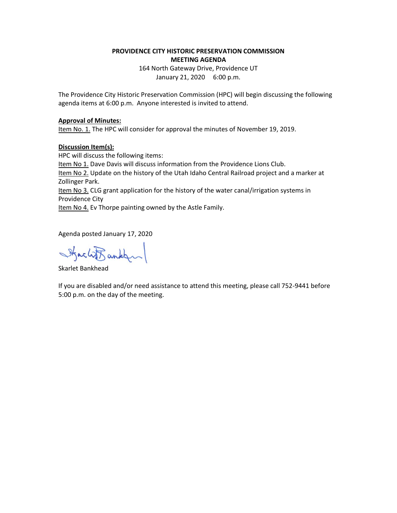## **PROVIDENCE CITY HISTORIC PRESERVATION COMMISSION MEETING AGENDA**

164 North Gateway Drive, Providence UT January 21, 2020 6:00 p.m.

The Providence City Historic Preservation Commission (HPC) will begin discussing the following agenda items at 6:00 p.m. Anyone interested is invited to attend.

## **Approval of Minutes:**

Item No. 1. The HPC will consider for approval the minutes of November 19, 2019.

## **Discussion Item(s):**

HPC will discuss the following items: Item No 1. Dave Davis will discuss information from the Providence Lions Club. Item No 2. Update on the history of the Utah Idaho Central Railroad project and a marker at Zollinger Park. Item No 3. CLG grant application for the history of the water canal/irrigation systems in Providence City

Item No 4. Ev Thorpe painting owned by the Astle Family.

Agenda posted January 17, 2020

Stacht ankley

Skarlet Bankhead

If you are disabled and/or need assistance to attend this meeting, please call 752-9441 before 5:00 p.m. on the day of the meeting.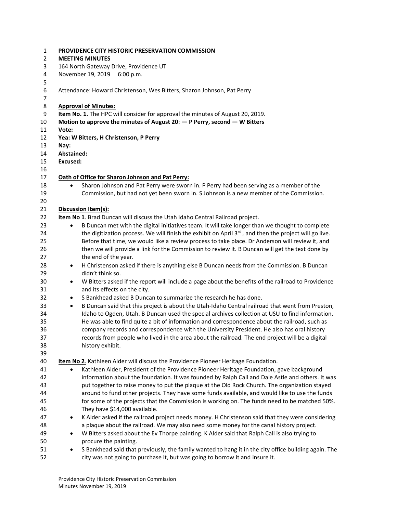| $\mathbf 1$ |                               | PROVIDENCE CITY HISTORIC PRESERVATION COMMISSION                                                                                  |  |
|-------------|-------------------------------|-----------------------------------------------------------------------------------------------------------------------------------|--|
| 2           |                               | <b>MEETING MINUTES</b>                                                                                                            |  |
| 3           |                               | 164 North Gateway Drive, Providence UT                                                                                            |  |
| 4<br>5      |                               | November 19, 2019 6:00 p.m.                                                                                                       |  |
| 6<br>7      |                               | Attendance: Howard Christenson, Wes Bitters, Sharon Johnson, Pat Perry                                                            |  |
| 8           |                               | <b>Approval of Minutes:</b>                                                                                                       |  |
| 9           |                               | Item No. 1. The HPC will consider for approval the minutes of August 20, 2019.                                                    |  |
| 10          |                               | Motion to approve the minutes of August 20: $-$ P Perry, second $-$ W Bitters                                                     |  |
| 11          | Vote:                         |                                                                                                                                   |  |
| 12          |                               | Yea: W Bitters, H Christenson, P Perry                                                                                            |  |
| 13<br>14    | Nay:                          |                                                                                                                                   |  |
| 15          | Abstained:<br><b>Excused:</b> |                                                                                                                                   |  |
| 16          |                               |                                                                                                                                   |  |
| 17          |                               | Oath of Office for Sharon Johnson and Pat Perry:                                                                                  |  |
| 18          | $\bullet$                     | Sharon Johnson and Pat Perry were sworn in. P Perry had been serving as a member of the                                           |  |
| 19          |                               | Commission, but had not yet been sworn in. S Johnson is a new member of the Commission.                                           |  |
| 20          |                               |                                                                                                                                   |  |
| 21          |                               | Discussion Item(s):                                                                                                               |  |
| 22          |                               | Item No 1. Brad Duncan will discuss the Utah Idaho Central Railroad project.                                                      |  |
| 23          | $\bullet$                     | B Duncan met with the digital initiatives team. It will take longer than we thought to complete                                   |  |
| 24          |                               | the digitization process. We will finish the exhibit on April 3 <sup>rd</sup> , and then the project will go live.                |  |
| 25          |                               | Before that time, we would like a review process to take place. Dr Anderson will review it, and                                   |  |
| 26          |                               | then we will provide a link for the Commission to review it. B Duncan will get the text done by                                   |  |
| 27          |                               | the end of the year.                                                                                                              |  |
| 28          | $\bullet$                     | H Christenson asked if there is anything else B Duncan needs from the Commission. B Duncan                                        |  |
| 29          |                               | didn't think so.                                                                                                                  |  |
| 30          | ٠                             | W Bitters asked if the report will include a page about the benefits of the railroad to Providence                                |  |
| 31<br>32    |                               | and its effects on the city.<br>S Bankhead asked B Duncan to summarize the research he has done.                                  |  |
| 33          | $\bullet$<br>$\bullet$        | B Duncan said that this project is about the Utah-Idaho Central railroad that went from Preston,                                  |  |
| 34          |                               | Idaho to Ogden, Utah. B Duncan used the special archives collection at USU to find information.                                   |  |
| 35          |                               | He was able to find quite a bit of information and correspondence about the railroad, such as                                     |  |
| 36          |                               | company records and correspondence with the University President. He also has oral history                                        |  |
| 37          |                               | records from people who lived in the area about the railroad. The end project will be a digital                                   |  |
| 38          |                               | history exhibit.                                                                                                                  |  |
| 39          |                               |                                                                                                                                   |  |
| 40          |                               | Item No 2. Kathleen Alder will discuss the Providence Pioneer Heritage Foundation.                                                |  |
| 41          | $\bullet$                     | Kathleen Alder, President of the Providence Pioneer Heritage Foundation, gave background                                          |  |
| 42          |                               | information about the foundation. It was founded by Ralph Call and Dale Astle and others. It was                                  |  |
| 43          |                               | put together to raise money to put the plaque at the Old Rock Church. The organization stayed                                     |  |
| 44          |                               | around to fund other projects. They have some funds available, and would like to use the funds                                    |  |
| 45          |                               | for some of the projects that the Commission is working on. The funds need to be matched 50%.                                     |  |
| 46<br>47    |                               | They have \$14,000 available.<br>K Alder asked if the railroad project needs money. H Christenson said that they were considering |  |
| 48          |                               | a plaque about the railroad. We may also need some money for the canal history project.                                           |  |
| 49          | ٠                             | W Bitters asked about the Ev Thorpe painting. K Alder said that Ralph Call is also trying to                                      |  |
| 50          |                               | procure the painting.                                                                                                             |  |
| 51          |                               | S Bankhead said that previously, the family wanted to hang it in the city office building again. The                              |  |
| 52          |                               | city was not going to purchase it, but was going to borrow it and insure it.                                                      |  |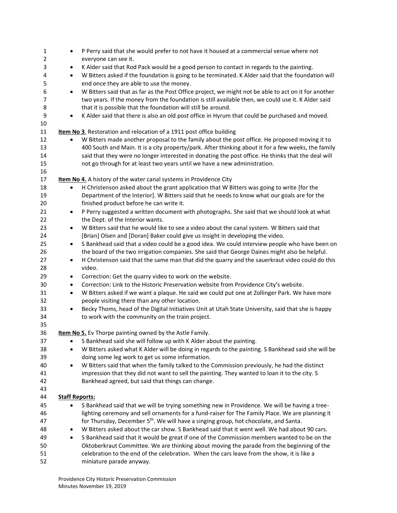| $\mathbf{1}$   | ٠                     | P Perry said that she would prefer to not have it housed at a commercial venue where not                                                       |
|----------------|-----------------------|------------------------------------------------------------------------------------------------------------------------------------------------|
| $\overline{2}$ |                       | everyone can see it.                                                                                                                           |
| 3              | $\bullet$             | K Alder said that Rod Pack would be a good person to contact in regards to the painting.                                                       |
| 4<br>5         | $\bullet$             | W Bitters asked if the foundation is going to be terminated. K Alder said that the foundation will<br>end once they are able to use the money. |
| 6              | $\bullet$             | W Bitters said that as far as the Post Office project, we might not be able to act on it for another                                           |
| 7              |                       | two years. If the money from the foundation is still available then, we could use it. K Alder said                                             |
| 8              |                       | that it is possible that the foundation will still be around.                                                                                  |
| 9              | $\bullet$             | K Alder said that there is also an old post office in Hyrum that could be purchased and moved.                                                 |
| 10             |                       |                                                                                                                                                |
| 11             |                       | Item No 3. Restoration and relocation of a 1911 post office building                                                                           |
| 12             | $\bullet$             | W Bitters made another proposal to the family about the post office. He proposed moving it to                                                  |
| 13             |                       | 400 South and Main. It is a city property/park. After thinking about it for a few weeks, the family                                            |
| 14             |                       | said that they were no longer interested in donating the post office. He thinks that the deal will                                             |
| 15             |                       | not go through for at least two years until we have a new administration.                                                                      |
| 16             |                       |                                                                                                                                                |
| 17             |                       | Item No 4. A history of the water canal systems in Providence City                                                                             |
| 18             | $\bullet$             | H Christenson asked about the grant application that W Bitters was going to write [for the                                                     |
| 19             |                       | Department of the Interior]. W Bitters said that he needs to know what our goals are for the                                                   |
| 20             |                       | finished product before he can write it.                                                                                                       |
| 21             | $\bullet$             | P Perry suggested a written document with photographs. She said that we should look at what                                                    |
| 22             |                       | the Dept. of the Interior wants.                                                                                                               |
| 23             | $\bullet$             | W Bitters said that he would like to see a video about the canal system. W Bitters said that                                                   |
| 24             |                       | [Brian] Olsen and [Doran] Baker could give us insight in developing the video.                                                                 |
| 25             | $\bullet$             | S Bankhead said that a video could be a good idea. We could interview people who have been on                                                  |
| 26             |                       | the board of the two irrigation companies. She said that George Daines might also be helpful.                                                  |
| 27             | $\bullet$             | H Christenson said that the same man that did the quarry and the sauerkraut video could do this                                                |
| 28             |                       | video.                                                                                                                                         |
| 29             | $\bullet$             | Correction: Get the quarry video to work on the website.                                                                                       |
| 30             | $\bullet$             | Correction: Link to the Historic Preservation website from Providence City's website.                                                          |
| 31             | $\bullet$             | W Bitters asked if we want a plaque. He said we could put one at Zollinger Park. We have more                                                  |
| 32             |                       | people visiting there than any other location.                                                                                                 |
| 33             | $\bullet$             | Becky Thoms, head of the Digital Initiatives Unit at Utah State University, said that she is happy                                             |
| 34             |                       | to work with the community on the train project.                                                                                               |
| 35             |                       |                                                                                                                                                |
| 36             |                       | Item No 5. Ev Thorpe painting owned by the Astle Family.                                                                                       |
| 37             | ٠                     | S Bankhead said she will follow up with K Alder about the painting.                                                                            |
| 38             | $\bullet$             | W Bitters asked what K Alder will be doing in regards to the painting. S Bankhead said she will be                                             |
| 39             |                       | doing some leg work to get us some information.                                                                                                |
| 40             | $\bullet$             | W Bitters said that when the family talked to the Commission previously, he had the distinct                                                   |
| 41             |                       | impression that they did not want to sell the painting. They wanted to loan it to the city. S                                                  |
| 42             |                       | Bankhead agreed, but said that things can change.                                                                                              |
| 43             |                       |                                                                                                                                                |
| 44             | <b>Staff Reports:</b> |                                                                                                                                                |
| 45             |                       | S Bankhead said that we will be trying something new in Providence. We will be having a tree-                                                  |
| 46             |                       | lighting ceremony and sell ornaments for a fund-raiser for The Family Place. We are planning it                                                |
| 47             |                       | for Thursday, December 5 <sup>th</sup> . We will have a singing group, hot chocolate, and Santa.                                               |
| 48             | $\bullet$             | W Bitters asked about the car show. S Bankhead said that it went well. We had about 90 cars.                                                   |
| 49             | $\bullet$             | S Bankhead said that it would be great if one of the Commission members wanted to be on the                                                    |
| 50             |                       | Oktoberkraut Committee. We are thinking about moving the parade from the beginning of the                                                      |
| 51             |                       | celebration to the end of the celebration. When the cars leave from the show, it is like a                                                     |
| 52             |                       | miniature parade anyway.                                                                                                                       |